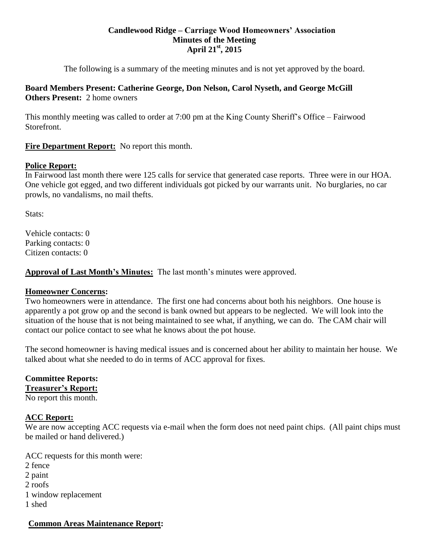#### **Candlewood Ridge – Carriage Wood Homeowners' Association Minutes of the Meeting April 21st, 2015**

The following is a summary of the meeting minutes and is not yet approved by the board.

# **Board Members Present: Catherine George, Don Nelson, Carol Nyseth, and George McGill Others Present:** 2 home owners

This monthly meeting was called to order at 7:00 pm at the King County Sheriff's Office – Fairwood Storefront.

# **Fire Department Report:** No report this month.

# **Police Report:**

In Fairwood last month there were 125 calls for service that generated case reports. Three were in our HOA. One vehicle got egged, and two different individuals got picked by our warrants unit. No burglaries, no car prowls, no vandalisms, no mail thefts.

Stats:

Vehicle contacts: 0 Parking contacts: 0 Citizen contacts: 0

**Approval of Last Month's Minutes:** The last month's minutes were approved.

# **Homeowner Concerns:**

Two homeowners were in attendance. The first one had concerns about both his neighbors. One house is apparently a pot grow op and the second is bank owned but appears to be neglected. We will look into the situation of the house that is not being maintained to see what, if anything, we can do. The CAM chair will contact our police contact to see what he knows about the pot house.

The second homeowner is having medical issues and is concerned about her ability to maintain her house. We talked about what she needed to do in terms of ACC approval for fixes.

# **Committee Reports: Treasurer's Report:**

No report this month.

# **ACC Report:**

We are now accepting ACC requests via e-mail when the form does not need paint chips. (All paint chips must be mailed or hand delivered.)

ACC requests for this month were: 2 fence 2 paint 2 roofs 1 window replacement 1 shed

# **Common Areas Maintenance Report:**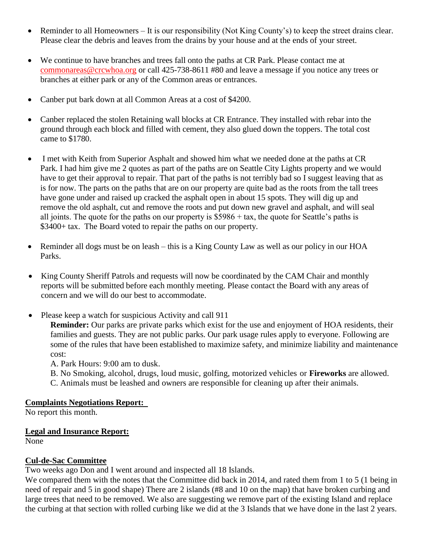- Reminder to all Homeowners It is our responsibility (Not King County's) to keep the street drains clear. Please clear the debris and leaves from the drains by your house and at the ends of your street.
- We continue to have branches and trees fall onto the paths at CR Park. Please contact me at [commonareas@crcwhoa.org](mailto:commonareas@crcwhoa.org) or call 425-738-8611 #80 and leave a message if you notice any trees or branches at either park or any of the Common areas or entrances.
- Canber put bark down at all Common Areas at a cost of \$4200.
- Canber replaced the stolen Retaining wall blocks at CR Entrance. They installed with rebar into the ground through each block and filled with cement, they also glued down the toppers. The total cost came to \$1780.
- I met with Keith from Superior Asphalt and showed him what we needed done at the paths at CR Park. I had him give me 2 quotes as part of the paths are on Seattle City Lights property and we would have to get their approval to repair. That part of the paths is not terribly bad so I suggest leaving that as is for now. The parts on the paths that are on our property are quite bad as the roots from the tall trees have gone under and raised up cracked the asphalt open in about 15 spots. They will dig up and remove the old asphalt, cut and remove the roots and put down new gravel and asphalt, and will seal all joints. The quote for the paths on our property is \$5986 + tax, the quote for Seattle's paths is \$3400+ tax. The Board voted to repair the paths on our property.
- Reminder all dogs must be on leash this is a King County Law as well as our policy in our HOA Parks.
- King County Sheriff Patrols and requests will now be coordinated by the CAM Chair and monthly reports will be submitted before each monthly meeting. Please contact the Board with any areas of concern and we will do our best to accommodate.
- Please keep a watch for suspicious Activity and call 911

**Reminder:** Our parks are private parks which exist for the use and enjoyment of HOA residents, their families and guests. They are not public parks. Our park usage rules apply to everyone. Following are some of the rules that have been established to maximize safety, and minimize liability and maintenance cost:

A. Park Hours: 9:00 am to dusk.

B. No Smoking, alcohol, drugs, loud music, golfing, motorized vehicles or **Fireworks** are allowed. C. Animals must be leashed and owners are responsible for cleaning up after their animals.

# **Complaints Negotiations Report:**

No report this month.

# **Legal and Insurance Report:**

None

# **Cul-de-Sac Committee**

Two weeks ago Don and I went around and inspected all 18 Islands.

We compared them with the notes that the Committee did back in 2014, and rated them from 1 to 5 (1 being in need of repair and 5 in good shape) There are 2 islands (#8 and 10 on the map) that have broken curbing and large trees that need to be removed. We also are suggesting we remove part of the existing Island and replace the curbing at that section with rolled curbing like we did at the 3 Islands that we have done in the last 2 years.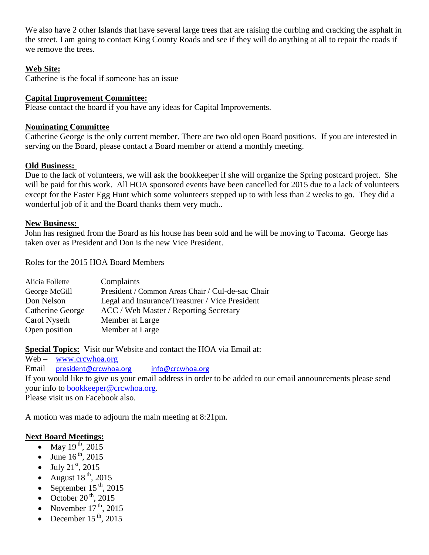We also have 2 other Islands that have several large trees that are raising the curbing and cracking the asphalt in the street. I am going to contact King County Roads and see if they will do anything at all to repair the roads if we remove the trees.

#### **Web Site:**

Catherine is the focal if someone has an issue

#### **Capital Improvement Committee:**

Please contact the board if you have any ideas for Capital Improvements.

#### **Nominating Committee**

Catherine George is the only current member. There are two old open Board positions. If you are interested in serving on the Board, please contact a Board member or attend a monthly meeting.

#### **Old Business:**

Due to the lack of volunteers, we will ask the bookkeeper if she will organize the Spring postcard project. She will be paid for this work. All HOA sponsored events have been cancelled for 2015 due to a lack of volunteers except for the Easter Egg Hunt which some volunteers stepped up to with less than 2 weeks to go. They did a wonderful job of it and the Board thanks them very much..

#### **New Business:**

John has resigned from the Board as his house has been sold and he will be moving to Tacoma. George has taken over as President and Don is the new Vice President.

Roles for the 2015 HOA Board Members

| Alicia Follette  | Complaints                                        |
|------------------|---------------------------------------------------|
| George McGill    | President / Common Areas Chair / Cul-de-sac Chair |
| Don Nelson       | Legal and Insurance/Treasurer / Vice President    |
| Catherine George | ACC / Web Master / Reporting Secretary            |
| Carol Nyseth     | Member at Large                                   |
| Open position    | Member at Large                                   |

**Special Topics:** Visit our Website and contact the HOA via Email at:

Web – [www.crcwhoa.org](http://www.crcwhoa.org/) Email – [president@crcwhoa.org](mailto:president@crcwhoa.org) [info@crcwhoa.org](mailto:info@crcwhoa.org) If you would like to give us your email address in order to be added to our email announcements please send your info to [bookkeeper@crcwhoa.org.](mailto:bookkeeper@crcwhoa.org) Please visit us on Facebook also.

A motion was made to adjourn the main meeting at 8:21pm.

# **Next Board Meetings:**

- May  $19^{th}$ , 2015
- June  $16^{th}$ , 2015
- $-$  July 21<sup>st</sup>, 2015
- August  $18^{th}$ , 2015
- September  $15^{th}$ , 2015
- October  $20<sup>th</sup>$ , 2015
- November  $17^{th}$ , 2015
- December  $15^{th}$ , 2015